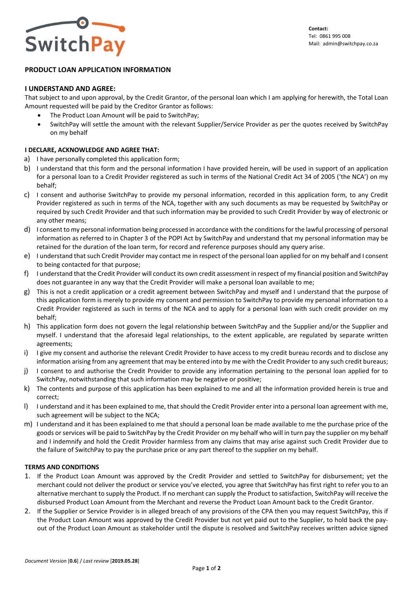

# **PRODUCT LOAN APPLICATION INFORMATION**

### **I UNDERSTAND AND AGREE:**

That subject to and upon approval, by the Credit Grantor, of the personal loan which I am applying for herewith, the Total Loan Amount requested will be paid by the Creditor Grantor as follows:

- The Product Loan Amount will be paid to SwitchPay;
- SwitchPay will settle the amount with the relevant Supplier/Service Provider as per the quotes received by SwitchPay on my behalf

## **I DECLARE, ACKNOWLEDGE AND AGREE THAT:**

- a) I have personally completed this application form;
- b) I understand that this form and the personal information I have provided herein, will be used in support of an application for a personal loan to a Credit Provider registered as such in terms of the National Credit Act 34 of 2005 ('the NCA') on my behalf;
- c) I consent and authorise SwitchPay to provide my personal information, recorded in this application form, to any Credit Provider registered as such in terms of the NCA, together with any such documents as may be requested by SwitchPay or required by such Credit Provider and that such information may be provided to such Credit Provider by way of electronic or any other means;
- d) I consent to my personal information being processed in accordance with the conditions for the lawful processing of personal information as referred to in Chapter 3 of the POPI Act by SwitchPay and understand that my personal information may be retained for the duration of the loan term, for record and reference purposes should any query arise.
- e) I understand that such Credit Provider may contact me in respect of the personal loan applied for on my behalf and I consent to being contacted for that purpose;
- f) I understand that the Credit Provider will conduct its own credit assessment in respect of my financial position and SwitchPay does not guarantee in any way that the Credit Provider will make a personal loan available to me;
- g) This is not a credit application or a credit agreement between SwitchPay and myself and I understand that the purpose of this application form is merely to provide my consent and permission to SwitchPay to provide my personal information to a Credit Provider registered as such in terms of the NCA and to apply for a personal loan with such credit provider on my behalf;
- h) This application form does not govern the legal relationship between SwitchPay and the Supplier and/or the Supplier and myself. I understand that the aforesaid legal relationships, to the extent applicable, are regulated by separate written agreements;
- i) I give my consent and authorise the relevant Credit Provider to have access to my credit bureau records and to disclose any information arising from any agreement that may be entered into by me with the Credit Provider to any such credit bureaus;
- j) I consent to and authorise the Credit Provider to provide any information pertaining to the personal loan applied for to SwitchPay, notwithstanding that such information may be negative or positive;
- k) The contents and purpose of this application has been explained to me and all the information provided herein is true and correct;
- l) I understand and it has been explained to me, that should the Credit Provider enter into a personal loan agreement with me, such agreement will be subject to the NCA;
- m) I understand and it has been explained to me that should a personal loan be made available to me the purchase price of the goods or services will be paid to SwitchPay by the Credit Provider on my behalf who will in turn pay the supplier on my behalf and I indemnify and hold the Credit Provider harmless from any claims that may arise against such Credit Provider due to the failure of SwitchPay to pay the purchase price or any part thereof to the supplier on my behalf.

## **TERMS AND CONDITIONS**

- 1. If the Product Loan Amount was approved by the Credit Provider and settled to SwitchPay for disbursement; yet the merchant could not deliver the product or service you've elected, you agree that SwitchPay has first right to refer you to an alternative merchant to supply the Product. If no merchant can supply the Product to satisfaction, SwitchPay will receive the disbursed Product Loan Amount from the Merchant and reverse the Product Loan Amount back to the Credit Grantor.
- 2. If the Supplier or Service Provider is in alleged breach of any provisions of the CPA then you may request SwitchPay, this if the Product Loan Amount was approved by the Credit Provider but not yet paid out to the Supplier, to hold back the payout of the Product Loan Amount as stakeholder until the dispute is resolved and SwitchPay receives written advice signed